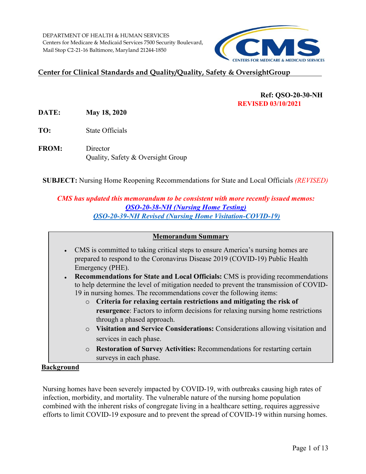

# **Center for Clinical Standards and Quality/Quality, Safety & OversightGroup**

# **Ref: QSO-20-30-NH REVISED 03/10/2021**

**DATE: May 18, 2020** 

**TO:** State Officials

**FROM:** Director Quality, Safety & Oversight Group

**SUBJECT:** Nursing Home Reopening Recommendations for State and Local Officials *(REVISED)* 

# *CMS has updated this memorandum to be consistent with more recently issued memos: [QSO-20-38-NH \(Nursing Home Testing\)](https://www.cms.gov/files/document/qso-20-38-nh.pdf)  [QSO-20-39-NH Revised \(Nursing Home Visitation-COVID-19\)](https://www.cms.gov/files/document/qso-20-39-nh-revised.pdf)*

#### **Memorandum Summary**

- CMS is committed to taking critical steps to ensure America's nursing homes are prepared to respond to the Coronavirus Disease 2019 (COVID-19) Public Health Emergency (PHE).
- **Recommendations for State and Local Officials:** CMS is providing recommendations to help determine the level of mitigation needed to prevent the transmission of COVID-19 in nursing homes. The recommendations cover the following items:
	- **resurgence**: Factors to inform decisions for relaxing nursing home restrictions o **Criteria for relaxing certain restrictions and mitigating the risk of**  through a phased approach.
	- o **Visitation and Service Considerations:** Considerations allowing visitation and services in each phase.
	- o **Restoration of Survey Activities:** Recommendations for restarting certain surveys in each phase.

### **Background**

Nursing homes have been severely impacted by COVID-19, with outbreaks causing high rates of infection, morbidity, and mortality. The vulnerable nature of the nursing home population combined with the inherent risks of congregate living in a healthcare setting, requires aggressive efforts to limit COVID-19 exposure and to prevent the spread of COVID-19 within nursing homes.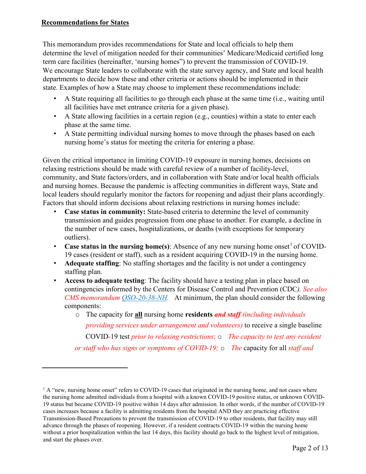## **Recommendations for States**

<u>.</u>

 We encourage State leaders to collaborate with the state survey agency, and State and local health state. Examples of how a State may choose to implement these recommendations include: This memorandum provides recommendations for State and local officials to help them determine the level of mitigation needed for their communities' Medicare/Medicaid certified long term care facilities (hereinafter, 'nursing homes") to prevent the transmission of COVID-19. departments to decide how these and other criteria or actions should be implemented in their

- all facilities have met entrance criteria for a given phase). • A State requiring all facilities to go through each phase at the same time (i.e., waiting until
- A State allowing facilities in a certain region (e.g., counties) within a state to enter each phase at the same time.
- nursing home's status for meeting the criteria for entering a phase. • A State permitting individual nursing homes to move through the phases based on each

 local leaders should regularly monitor the factors for reopening and adjust their plans accordingly. Factors that should inform decisions about relaxing restrictions in nursing homes include: Given the critical importance in limiting COVID-19 exposure in nursing homes, decisions on relaxing restrictions should be made with careful review of a number of facility-level, community, and State factors/orders, and in collaboration with State and/or local health officials and nursing homes. Because the pandemic is affecting communities in different ways, State and

- **Case status in community:** State-based criteria to determine the level of community transmission and guides progression from one phase to another. For example, a decline in the number of new cases, hospitalizations, or deaths (with exceptions for temporary outliers).
- **Case status in the nursing home(s)**: Absence of any new nursing home onset<sup>[1](#page-1-0)</sup> of COVID-19 cases (resident or staff), such as a resident acquiring COVID-19 in the nursing home.
- • **Adequate staffing**: No staffing shortages and the facility is not under a contingency staffing plan.
- *CMS memorandum [QSO-20-38-NH.](https://www.cms.gov/files/document/qso-20-38-nh.pdf)* At minimum, the plan should consider the following components: • **Access to adequate testing**: The facility should have a testing plan in place based on contingencies informed by the Centers for Disease Control and Prevention (CDC*). See also* 
	- o The capacity for **all** nursing home **residents** *and staff (including individuals providing services under arrangement and volunteers)* to receive a single baseline COVID-19 test *prior to relaxing restrictions*; o *The capacity to test any resident or staff who has signs or symptoms of COVID-19;* o *The* capacity for all *staff and*

<span id="page-1-0"></span> $<sup>1</sup>$  A "new, nursing home onset" refers to COVID-19 cases that originated in the nursing home, and not cases where</sup> Transmission-Based Precautions to prevent the transmission of COVID-19 to other residents, that facility may still without a prior hospitalization within the last 14 days, this facility should go back to the highest level of mitigation, the nursing home admitted individuals from a hospital with a known COVID-19 positive status, or unknown COVID-19 status but became COVID-19 positive within 14 days after admission. In other words, if the number of COVID-19 cases increases because a facility is admitting residents from the hospital AND they are practicing effective advance through the phases of reopening. However, if a resident contracts COVID-19 within the nursing home and start the phases over.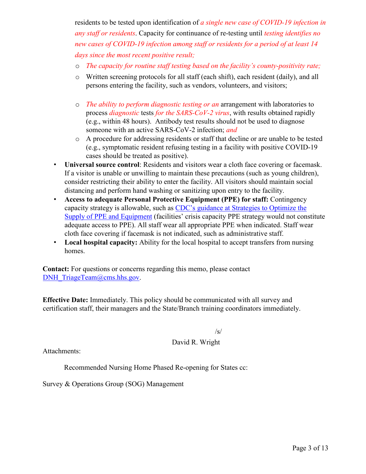residents to be tested upon identification of *a single new case of COVID-19 infection in any staff or residents*. Capacity for continuance of re-testing until *testing identifies no new cases of COVID-19 infection among staff or residents for a period of at least 14 days since the most recent positive result;* 

- o *The capacity for routine staff testing based on the facility's county-positivity rate;*
- o Written screening protocols for all staff (each shift), each resident (daily), and all persons entering the facility, such as vendors, volunteers, and visitors;
- someone with an active SARS-CoV-2 infection; *and*  o *The ability to perform diagnostic testing or an* arrangement with laboratories to process *diagnostic* tests *for the SARS-CoV-2 virus*, with results obtained rapidly (e.g., within 48 hours). Antibody test results should not be used to diagnose
- o A procedure for addressing residents or staff that decline or are unable to be tested (e.g., symptomatic resident refusing testing in a facility with positive COVID-19 cases should be treated as positive).
- • **Universal source control**: Residents and visitors wear a cloth face covering or facemask. distancing and perform hand washing or sanitizing upon entry to the facility. If a visitor is unable or unwilling to maintain these precautions (such as young children), consider restricting their ability to enter the facility. All visitors should maintain social
- capacity strategy is allowable, such as **CDC**'s guidance at Strategies to Optimize the cloth face covering if facemask is not indicated, such as administrative staff. • **Access to adequate Personal Protective Equipment (PPE) for staff:** Contingency [Supply of PPE and Equipment \(f](https://www.cdc.gov/coronavirus/2019-ncov/hcp/ppe-strategy/index.html)acilities' crisis capacity PPE strategy would not constitute adequate access to PPE). All staff wear all appropriate PPE when indicated. Staff wear
- **Local hospital capacity:** Ability for the local hospital to accept transfers from nursing homes.

**Contact:** For questions or concerns regarding this memo, please contact DNH\_TriageTeam@cms.hhs.gov.

**Effective Date:** Immediately. This policy should be communicated with all survey and certification staff, their managers and the State/Branch training coordinators immediately.

/s/

## David R. Wright

Attachments:

Recommended Nursing Home Phased Re-opening for States cc:

Survey & Operations Group (SOG) Management Survey & Operations Group (SOG) Management<br>
Page 3 of 13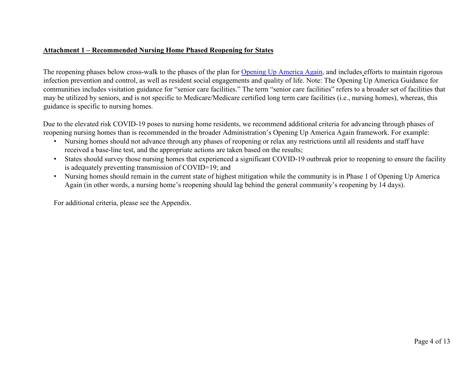## **Attachment 1 – Recommended Nursing Home Phased Reopening for States**

The reopening phases below cross-walk to the phases of the plan for [Opening Up America Again,](https://www.whitehouse.gov/openingamerica/) and includes efforts to maintain rigorous infection prevention and control, as well as resident social engagements and quality of life. Note: The Opening Up America Guidance for communities includes visitation guidance for "senior care facilities." The term "senior care facilities" refers to a broader set of facilities that may be utilized by seniors, and is not specific to Medicare/Medicare certified long term care facilities (i.e., nursing homes), whereas, this guidance is specific to nursing homes.

 reopening nursing homes than is recommended in the broader Administration's Opening Up America Again framework. For example: Due to the elevated risk COVID-19 poses to nursing home residents, we recommend additional criteria for advancing through phases of

- received a base-line test, and the appropriate actions are taken based on the results; • Nursing homes should not advance through any phases of reopening or relax any restrictions until all residents and staff have
- States should survey those nursing homes that experienced a significant COVID-19 outbreak prior to reopening to ensure the facility is adequately preventing transmission of COVID=19; and
- Again (in other words, a nursing home's reopening should lag behind the general community's reopening by 14 days). • Nursing homes should remain in the current state of highest mitigation while the community is in Phase 1 of Opening Up America

For additional criteria, please see the Appendix.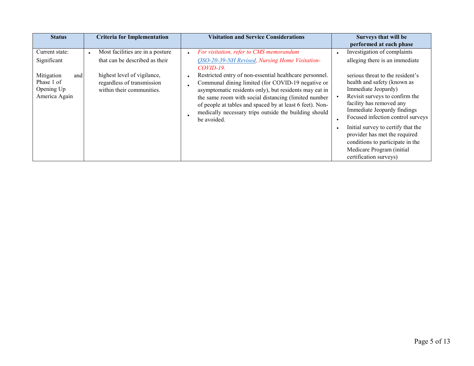| <b>Status</b>                                                                                   | <b>Criteria for Implementation</b>                                                                                                                                        | <b>Visitation and Service Considerations</b>                                                                                                                                                                                                                                                                                                                                                                                                                                    | Surveys that will be<br>performed at each phase                                                                                                                                                                                                                                                                                                                                                                                                             |
|-------------------------------------------------------------------------------------------------|---------------------------------------------------------------------------------------------------------------------------------------------------------------------------|---------------------------------------------------------------------------------------------------------------------------------------------------------------------------------------------------------------------------------------------------------------------------------------------------------------------------------------------------------------------------------------------------------------------------------------------------------------------------------|-------------------------------------------------------------------------------------------------------------------------------------------------------------------------------------------------------------------------------------------------------------------------------------------------------------------------------------------------------------------------------------------------------------------------------------------------------------|
| Current state:<br>Significant<br>Mitigation<br>and<br>Phase 1 of<br>Opening Up<br>America Again | Most facilities are in a posture<br>$\bullet$<br>that can be described as their<br>highest level of vigilance,<br>regardless of transmission<br>within their communities. | For visitation, refer to CMS memorandum<br>OSO-20-39-NH Revised, Nursing Home Visitation-<br>$COVID-19$ .<br>Restricted entry of non-essential healthcare personnel.<br>Communal dining limited (for COVID-19 negative or<br>asymptomatic residents only), but residents may eat in<br>the same room with social distancing (limited number<br>of people at tables and spaced by at least 6 feet). Non-<br>medically necessary trips outside the building should<br>be avoided. | Investigation of complaints<br>alleging there is an immediate<br>serious threat to the resident's<br>health and safety (known as<br>Immediate Jeopardy)<br>Revisit surveys to confirm the<br>facility has removed any<br>Immediate Jeopardy findings<br>Focused infection control surveys<br>Initial survey to certify that the<br>provider has met the required<br>conditions to participate in the<br>Medicare Program (initial<br>certification surveys) |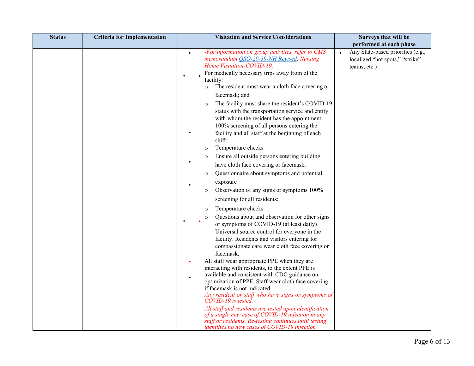| <b>Status</b> | <b>Criteria for Implementation</b> | <b>Visitation and Service Considerations</b>                                                                                                                                                                                                                                                                                                                                                               | Surveys that will be                                                                 |
|---------------|------------------------------------|------------------------------------------------------------------------------------------------------------------------------------------------------------------------------------------------------------------------------------------------------------------------------------------------------------------------------------------------------------------------------------------------------------|--------------------------------------------------------------------------------------|
|               |                                    |                                                                                                                                                                                                                                                                                                                                                                                                            | performed at each phase                                                              |
|               |                                    | - For information on group activities, refer to CMS<br>$\bullet$<br>memorandum QSO-20-39-NH Revised, Nursing<br>Home Visitation-COVID-19.<br>For medically necessary trips away from of the<br>facility:<br>The resident must wear a cloth face covering or<br>$\circ$<br>facemask; and<br>The facility must share the resident's COVID-19<br>$\circ$<br>status with the transportation service and entity | Any State-based priorities (e.g.,<br>localized "hot spots," "strike"<br>teams, etc.) |
|               |                                    | with whom the resident has the appointment.<br>100% screening of all persons entering the<br>facility and all staff at the beginning of each<br>shift:                                                                                                                                                                                                                                                     |                                                                                      |
|               |                                    | Temperature checks<br>$\circ$                                                                                                                                                                                                                                                                                                                                                                              |                                                                                      |
|               |                                    | Ensure all outside persons entering building<br>$\circ$                                                                                                                                                                                                                                                                                                                                                    |                                                                                      |
|               |                                    | have cloth face covering or facemask.                                                                                                                                                                                                                                                                                                                                                                      |                                                                                      |
|               |                                    | Questionnaire about symptoms and potential<br>$\circ$                                                                                                                                                                                                                                                                                                                                                      |                                                                                      |
|               |                                    | exposure                                                                                                                                                                                                                                                                                                                                                                                                   |                                                                                      |
|               |                                    | Observation of any signs or symptoms 100%<br>$\circ$                                                                                                                                                                                                                                                                                                                                                       |                                                                                      |
|               |                                    | screening for all residents:                                                                                                                                                                                                                                                                                                                                                                               |                                                                                      |
|               |                                    | Temperature checks<br>$\circ$                                                                                                                                                                                                                                                                                                                                                                              |                                                                                      |
|               |                                    | Questions about and observation for other signs<br>$\circ$<br>$\bullet$<br>or symptoms of COVID-19 (at least daily)<br>Universal source control for everyone in the<br>facility. Residents and visitors entering for<br>compassionate care wear cloth face covering or<br>facemask.                                                                                                                        |                                                                                      |
|               |                                    | All staff wear appropriate PPE when they are<br>٠                                                                                                                                                                                                                                                                                                                                                          |                                                                                      |
|               |                                    | interacting with residents, to the extent PPE is<br>available and consistent with CDC guidance on<br>$\bullet$<br>optimization of PPE. Staff wear cloth face covering                                                                                                                                                                                                                                      |                                                                                      |
|               |                                    | if facemask is not indicated.<br>Any resident or staff who have signs or symptoms of<br>COVID-19 is tested.                                                                                                                                                                                                                                                                                                |                                                                                      |
|               |                                    | All staff and residents are tested upon identification<br>of a single new case of COVID-19 infection in any<br>staff or residents. Re-testing continues until testing<br>identifies no new cases of COVID-19 infection                                                                                                                                                                                     |                                                                                      |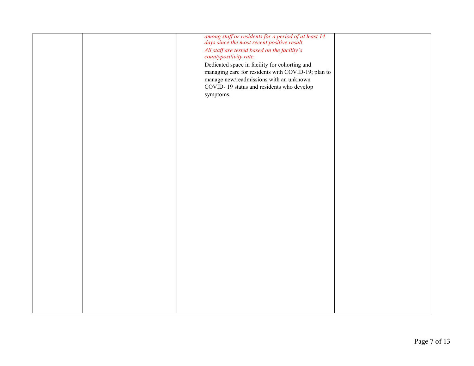|  | among staff or residents for a period of at least 14<br>days since the most recent positive result. |  |
|--|-----------------------------------------------------------------------------------------------------|--|
|  |                                                                                                     |  |
|  | All staff are tested based on the facility's                                                        |  |
|  | countypositivity rate.                                                                              |  |
|  |                                                                                                     |  |
|  | Dedicated space in facility for cohorting and                                                       |  |
|  | managing care for residents with COVID-19; plan to                                                  |  |
|  | manage new/readmissions with an unknown                                                             |  |
|  |                                                                                                     |  |
|  | COVID-19 status and residents who develop                                                           |  |
|  | symptoms.                                                                                           |  |
|  |                                                                                                     |  |
|  |                                                                                                     |  |
|  |                                                                                                     |  |
|  |                                                                                                     |  |
|  |                                                                                                     |  |
|  |                                                                                                     |  |
|  |                                                                                                     |  |
|  |                                                                                                     |  |
|  |                                                                                                     |  |
|  |                                                                                                     |  |
|  |                                                                                                     |  |
|  |                                                                                                     |  |
|  |                                                                                                     |  |
|  |                                                                                                     |  |
|  |                                                                                                     |  |
|  |                                                                                                     |  |
|  |                                                                                                     |  |
|  |                                                                                                     |  |
|  |                                                                                                     |  |
|  |                                                                                                     |  |
|  |                                                                                                     |  |
|  |                                                                                                     |  |
|  |                                                                                                     |  |
|  |                                                                                                     |  |
|  |                                                                                                     |  |
|  |                                                                                                     |  |
|  |                                                                                                     |  |
|  |                                                                                                     |  |
|  |                                                                                                     |  |
|  |                                                                                                     |  |
|  |                                                                                                     |  |
|  |                                                                                                     |  |
|  |                                                                                                     |  |
|  |                                                                                                     |  |
|  |                                                                                                     |  |
|  |                                                                                                     |  |
|  |                                                                                                     |  |
|  |                                                                                                     |  |
|  |                                                                                                     |  |
|  |                                                                                                     |  |
|  |                                                                                                     |  |
|  |                                                                                                     |  |
|  |                                                                                                     |  |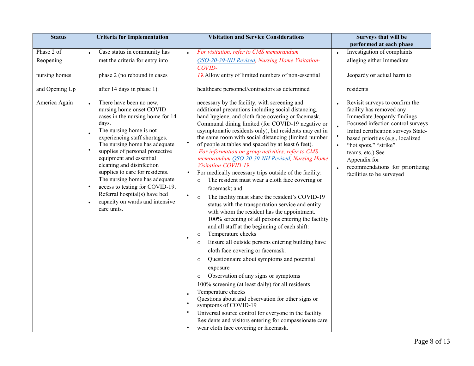| <b>Status</b>  | <b>Criteria for Implementation</b>                                                                                                                                                                                                                                                                                                                                                                                                                                                                                                     | <b>Visitation and Service Considerations</b>                                                                                                                                                                                                                                                                                                                                                                                                                                                                                                                                                                                                                                                                                                                                                                                                                                                                                                                                                                                                                                                                                                                                                                                                                                                                                                                                                                                                                                                                                              | Surveys that will be                                                                                                                                                                                                                                                                                                                      |
|----------------|----------------------------------------------------------------------------------------------------------------------------------------------------------------------------------------------------------------------------------------------------------------------------------------------------------------------------------------------------------------------------------------------------------------------------------------------------------------------------------------------------------------------------------------|-------------------------------------------------------------------------------------------------------------------------------------------------------------------------------------------------------------------------------------------------------------------------------------------------------------------------------------------------------------------------------------------------------------------------------------------------------------------------------------------------------------------------------------------------------------------------------------------------------------------------------------------------------------------------------------------------------------------------------------------------------------------------------------------------------------------------------------------------------------------------------------------------------------------------------------------------------------------------------------------------------------------------------------------------------------------------------------------------------------------------------------------------------------------------------------------------------------------------------------------------------------------------------------------------------------------------------------------------------------------------------------------------------------------------------------------------------------------------------------------------------------------------------------------|-------------------------------------------------------------------------------------------------------------------------------------------------------------------------------------------------------------------------------------------------------------------------------------------------------------------------------------------|
|                |                                                                                                                                                                                                                                                                                                                                                                                                                                                                                                                                        |                                                                                                                                                                                                                                                                                                                                                                                                                                                                                                                                                                                                                                                                                                                                                                                                                                                                                                                                                                                                                                                                                                                                                                                                                                                                                                                                                                                                                                                                                                                                           | performed at each phase                                                                                                                                                                                                                                                                                                                   |
| Phase 2 of     | Case status in community has<br>$\bullet$                                                                                                                                                                                                                                                                                                                                                                                                                                                                                              | For visitation, refer to CMS memorandum                                                                                                                                                                                                                                                                                                                                                                                                                                                                                                                                                                                                                                                                                                                                                                                                                                                                                                                                                                                                                                                                                                                                                                                                                                                                                                                                                                                                                                                                                                   | Investigation of complaints                                                                                                                                                                                                                                                                                                               |
| Reopening      | met the criteria for entry into                                                                                                                                                                                                                                                                                                                                                                                                                                                                                                        | OSO-20-39-NH Revised, Nursing Home Visitation-<br>COVID-                                                                                                                                                                                                                                                                                                                                                                                                                                                                                                                                                                                                                                                                                                                                                                                                                                                                                                                                                                                                                                                                                                                                                                                                                                                                                                                                                                                                                                                                                  | alleging either Immediate                                                                                                                                                                                                                                                                                                                 |
| nursing homes  | phase 2 (no rebound in cases                                                                                                                                                                                                                                                                                                                                                                                                                                                                                                           | 19. Allow entry of limited numbers of non-essential                                                                                                                                                                                                                                                                                                                                                                                                                                                                                                                                                                                                                                                                                                                                                                                                                                                                                                                                                                                                                                                                                                                                                                                                                                                                                                                                                                                                                                                                                       | Jeopardy or actual harm to                                                                                                                                                                                                                                                                                                                |
| and Opening Up | after 14 days in phase 1).                                                                                                                                                                                                                                                                                                                                                                                                                                                                                                             | healthcare personnel/contractors as determined                                                                                                                                                                                                                                                                                                                                                                                                                                                                                                                                                                                                                                                                                                                                                                                                                                                                                                                                                                                                                                                                                                                                                                                                                                                                                                                                                                                                                                                                                            | residents                                                                                                                                                                                                                                                                                                                                 |
| America Again  | There have been no new,<br>nursing home onset COVID<br>cases in the nursing home for 14<br>days.<br>The nursing home is not<br>$\bullet$<br>experiencing staff shortages.<br>The nursing home has adequate<br>$\bullet$<br>supplies of personal protective<br>equipment and essential<br>cleaning and disinfection<br>supplies to care for residents.<br>The nursing home has adequate<br>access to testing for COVID-19.<br>$\bullet$<br>Referral hospital(s) have bed<br>capacity on wards and intensive<br>$\bullet$<br>care units. | necessary by the facility, with screening and<br>additional precautions including social distancing,<br>hand hygiene, and cloth face covering or facemask.<br>Communal dining limited (for COVID-19 negative or<br>asymptomatic residents only), but residents may eat in<br>the same room with social distancing (limited number<br>of people at tables and spaced by at least 6 feet).<br>For information on group activities, refer to CMS<br>memorandum OSO-20-39-NH Revised, Nursing Home<br>Visitation-COVID-19.<br>For medically necessary trips outside of the facility:<br>The resident must wear a cloth face covering or<br>$\circ$<br>facemask; and<br>$\bullet$<br>The facility must share the resident's COVID-19<br>$\circ$<br>status with the transportation service and entity<br>with whom the resident has the appointment.<br>100% screening of all persons entering the facility<br>and all staff at the beginning of each shift:<br>Temperature checks<br>$\circ$<br>Ensure all outside persons entering building have<br>$\circ$<br>cloth face covering or facemask.<br>Questionnaire about symptoms and potential<br>$\circ$<br>exposure<br>Observation of any signs or symptoms<br>$\circ$<br>100% screening (at least daily) for all residents<br>Temperature checks<br>Questions about and observation for other signs or<br>symptoms of COVID-19<br>Universal source control for everyone in the facility.<br>Residents and visitors entering for compassionate care<br>wear cloth face covering or facemask. | Revisit surveys to confirm the<br>facility has removed any<br>Immediate Jeopardy findings<br>Focused infection control surveys<br>Initial certification surveys State-<br>based priorities (e.g., localized<br>"hot spots," "strike"<br>teams, etc.) See<br>Appendix for<br>recommendations for prioritizing<br>facilities to be surveyed |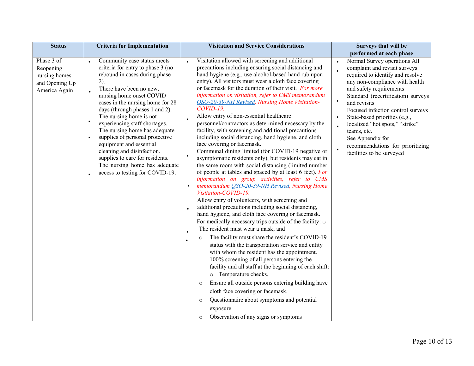| <b>Status</b>                                                               | <b>Criteria for Implementation</b>                                                                                                                                                                                                                                                                                                                                                                                                                                                                                                                                                        | <b>Visitation and Service Considerations</b>                                                                                                                                                                                                                                                                                                                                                                                                                                                                                                                                                                                                                                                                                                                                                                                                                                                                                                                                                                                                                                                                                                                                                                                                                                                                                                                                                                                                                                                                                                                                                                                                                                                                                                                                                                     | Surveys that will be                                                                                                                                                                                                                                                                                                                                                                                                                                                     |
|-----------------------------------------------------------------------------|-------------------------------------------------------------------------------------------------------------------------------------------------------------------------------------------------------------------------------------------------------------------------------------------------------------------------------------------------------------------------------------------------------------------------------------------------------------------------------------------------------------------------------------------------------------------------------------------|------------------------------------------------------------------------------------------------------------------------------------------------------------------------------------------------------------------------------------------------------------------------------------------------------------------------------------------------------------------------------------------------------------------------------------------------------------------------------------------------------------------------------------------------------------------------------------------------------------------------------------------------------------------------------------------------------------------------------------------------------------------------------------------------------------------------------------------------------------------------------------------------------------------------------------------------------------------------------------------------------------------------------------------------------------------------------------------------------------------------------------------------------------------------------------------------------------------------------------------------------------------------------------------------------------------------------------------------------------------------------------------------------------------------------------------------------------------------------------------------------------------------------------------------------------------------------------------------------------------------------------------------------------------------------------------------------------------------------------------------------------------------------------------------------------------|--------------------------------------------------------------------------------------------------------------------------------------------------------------------------------------------------------------------------------------------------------------------------------------------------------------------------------------------------------------------------------------------------------------------------------------------------------------------------|
|                                                                             |                                                                                                                                                                                                                                                                                                                                                                                                                                                                                                                                                                                           |                                                                                                                                                                                                                                                                                                                                                                                                                                                                                                                                                                                                                                                                                                                                                                                                                                                                                                                                                                                                                                                                                                                                                                                                                                                                                                                                                                                                                                                                                                                                                                                                                                                                                                                                                                                                                  | performed at each phase                                                                                                                                                                                                                                                                                                                                                                                                                                                  |
| Phase 3 of<br>Reopening<br>nursing homes<br>and Opening Up<br>America Again | Community case status meets<br>$\bullet$<br>criteria for entry to phase 3 (no<br>rebound in cases during phase<br>2).<br>There have been no new,<br>nursing home onset COVID<br>cases in the nursing home for 28<br>days (through phases 1 and 2).<br>The nursing home is not<br>$\bullet$<br>experiencing staff shortages.<br>The nursing home has adequate<br>supplies of personal protective<br>$\bullet$<br>equipment and essential<br>cleaning and disinfection.<br>supplies to care for residents.<br>The nursing home has adequate<br>access to testing for COVID-19.<br>$\bullet$ | Visitation allowed with screening and additional<br>precautions including ensuring social distancing and<br>hand hygiene (e.g., use alcohol-based hand rub upon<br>entry). All visitors must wear a cloth face covering<br>or facemask for the duration of their visit. For more<br>information on visitation, refer to CMS memorandum<br>OSO-20-39-NH Revised, Nursing Home Visitation-<br>COVID-19.<br>Allow entry of non-essential healthcare<br>personnel/contractors as determined necessary by the<br>facility, with screening and additional precautions<br>including social distancing, hand hygiene, and cloth<br>face covering or facemask.<br>Communal dining limited (for COVID-19 negative or<br>asymptomatic residents only), but residents may eat in<br>the same room with social distancing (limited number<br>of people at tables and spaced by at least 6 feet). For<br>information on group activities, refer to CMS<br>memorandum OSO-20-39-NH Revised, Nursing Home<br>Visitation-COVID-19.<br>Allow entry of volunteers, with screening and<br>additional precautions including social distancing,<br>hand hygiene, and cloth face covering or facemask.<br>For medically necessary trips outside of the facility: o<br>The resident must wear a mask; and<br>The facility must share the resident's COVID-19<br>$\circ$<br>status with the transportation service and entity<br>with whom the resident has the appointment.<br>100% screening of all persons entering the<br>facility and all staff at the beginning of each shift:<br>o Temperature checks.<br>Ensure all outside persons entering building have<br>$\circ$<br>cloth face covering or facemask.<br>Questionnaire about symptoms and potential<br>$\circ$<br>exposure<br>Observation of any signs or symptoms<br>$\circ$ | Normal Survey operations All<br>$\bullet$<br>complaint and revisit surveys<br>required to identify and resolve<br>any non-compliance with health<br>and safety requirements<br>Standard (recertification) surveys<br>$\bullet$<br>and revisits<br>Focused infection control surveys<br>State-based priorities (e.g.,<br>$\bullet$<br>localized "hot spots," "strike"<br>teams, etc.<br>See Appendix for<br>recommendations for prioritizing<br>facilities to be surveyed |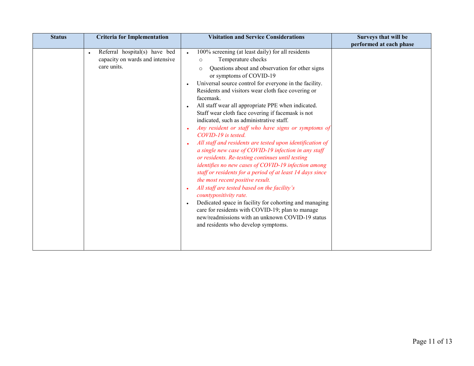| <b>Status</b> | <b>Criteria for Implementation</b>                                              | <b>Visitation and Service Considerations</b>                                                                                                                                                                                                                                                                                                                                                                                                                                                                                                                                                                                                                                                                                                                                                                                                                                                                                                                                                                                                                                                                                                                                   | Surveys that will be    |
|---------------|---------------------------------------------------------------------------------|--------------------------------------------------------------------------------------------------------------------------------------------------------------------------------------------------------------------------------------------------------------------------------------------------------------------------------------------------------------------------------------------------------------------------------------------------------------------------------------------------------------------------------------------------------------------------------------------------------------------------------------------------------------------------------------------------------------------------------------------------------------------------------------------------------------------------------------------------------------------------------------------------------------------------------------------------------------------------------------------------------------------------------------------------------------------------------------------------------------------------------------------------------------------------------|-------------------------|
|               |                                                                                 |                                                                                                                                                                                                                                                                                                                                                                                                                                                                                                                                                                                                                                                                                                                                                                                                                                                                                                                                                                                                                                                                                                                                                                                | performed at each phase |
|               | Referral hospital(s) have bed<br>capacity on wards and intensive<br>care units. | 100% screening (at least daily) for all residents<br>$\bullet$<br>Temperature checks<br>$\circ$<br>Questions about and observation for other signs<br>$\circ$<br>or symptoms of COVID-19<br>Universal source control for everyone in the facility.<br>Residents and visitors wear cloth face covering or<br>facemask.<br>All staff wear all appropriate PPE when indicated.<br>Staff wear cloth face covering if facemask is not<br>indicated, such as administrative staff.<br>Any resident or staff who have signs or symptoms of<br>COVID-19 is tested.<br>All staff and residents are tested upon identification of<br>a single new case of COVID-19 infection in any staff<br>or residents. Re-testing continues until testing<br>identifies no new cases of COVID-19 infection among<br>staff or residents for a period of at least 14 days since<br>the most recent positive result.<br>All staff are tested based on the facility's<br>countypositivity rate.<br>Dedicated space in facility for cohorting and managing<br>care for residents with COVID-19; plan to manage<br>new/readmissions with an unknown COVID-19 status<br>and residents who develop symptoms. |                         |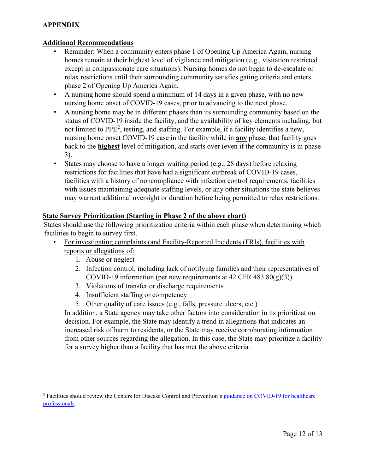# **APPENDIX**

### **Additional Recommendations**

- • Reminder: When a community enters phase 1 of Opening Up America Again, nursing homes remain at their highest level of vigilance and mitigation (e.g., visitation restricted except in compassionate care situations). Nursing homes do not begin to de-escalate or relax restrictions until their surrounding community satisfies gating criteria and enters phase 2 of Opening Up America Again.
- A nursing home should spend a minimum of 14 days in a given phase, with no new nursing home onset of COVID-19 cases, prior to advancing to the next phase.
- • A nursing home may be in different phases than its surrounding community based on the status of COVID-19 inside the facility, and the availability of key elements including, but nursing home onset COVID-19 case in the facility while in **any** phase, that facility goes not limited to PPE<sup>[2](#page-11-0)</sup>, testing, and staffing. For example, if a facility identifies a new, back to the **highest** level of mitigation, and starts over (even if the community is in phase 3).
- States may choose to have a longer waiting period (e.g., 28 days) before relaxing restrictions for facilities that have had a significant outbreak of COVID-19 cases, facilities with a history of noncompliance with infection control requirements, facilities with issues maintaining adequate staffing levels, or any other situations the state believes may warrant additional oversight or duration before being permitted to relax restrictions.

# **State Survey Prioritization (Starting in Phase 2 of the above chart)**

 facilities to begin to survey first. States should use the following prioritization criteria within each phase when determining which

- reports or allegations of:<br>1. Abuse or neglect • For investigating complaints (and Facility-Reported Incidents (FRIs), facilities with
	- 1. Abuse or neglect

 $\overline{a}$ 

- COVID-19 information (per new requirements at 42 CFR 483.80(g)(3))<br>3. Violations of transfer or discharge requirements<br>4. Insufficient staffing or competency 2. Infection control, including lack of notifying families and their representatives of
- 3. Violations of transfer or discharge requirements
- 
- 5. Other quality of care issues (e.g., falls, pressure ulcers, etc.)

In addition, a State agency may take other factors into consideration in its prioritization decision. For example, the State may identify a trend in allegations that indicates an increased risk of harm to residents, or the State may receive corroborating information from other sources regarding the allegation. In this case, the State may prioritize a facility for a survey higher than a facility that has met the above criteria.

<span id="page-11-0"></span><sup>&</sup>lt;sup>2</sup> Facilities should review the Centers for Disease Control and Prevention's guidance on COVID-19 for healthcare [professionals.](https://www.cdc.gov/coronavirus/2019-nCoV/hcp/index.html)